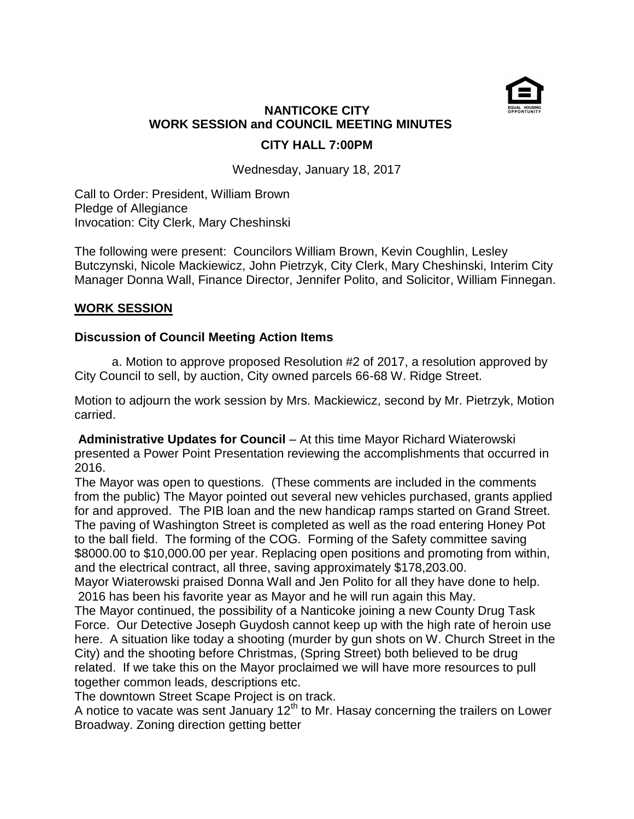

## **NANTICOKE CITY WORK SESSION and COUNCIL MEETING MINUTES CITY HALL 7:00PM**

Wednesday, January 18, 2017

Call to Order: President, William Brown Pledge of Allegiance Invocation: City Clerk, Mary Cheshinski

The following were present: Councilors William Brown, Kevin Coughlin, Lesley Butczynski, Nicole Mackiewicz, John Pietrzyk, City Clerk, Mary Cheshinski, Interim City Manager Donna Wall, Finance Director, Jennifer Polito, and Solicitor, William Finnegan.

### **WORK SESSION**

### **Discussion of Council Meeting Action Items**

 a. Motion to approve proposed Resolution #2 of 2017, a resolution approved by City Council to sell, by auction, City owned parcels 66-68 W. Ridge Street.

Motion to adjourn the work session by Mrs. Mackiewicz, second by Mr. Pietrzyk, Motion carried.

**Administrative Updates for Council** – At this time Mayor Richard Wiaterowski presented a Power Point Presentation reviewing the accomplishments that occurred in 2016.

The Mayor was open to questions. (These comments are included in the comments from the public) The Mayor pointed out several new vehicles purchased, grants applied for and approved. The PIB loan and the new handicap ramps started on Grand Street. The paving of Washington Street is completed as well as the road entering Honey Pot to the ball field. The forming of the COG. Forming of the Safety committee saving \$8000.00 to \$10,000.00 per year. Replacing open positions and promoting from within, and the electrical contract, all three, saving approximately \$178,203.00.

Mayor Wiaterowski praised Donna Wall and Jen Polito for all they have done to help. 2016 has been his favorite year as Mayor and he will run again this May.

The Mayor continued, the possibility of a Nanticoke joining a new County Drug Task Force. Our Detective Joseph Guydosh cannot keep up with the high rate of heroin use here. A situation like today a shooting (murder by gun shots on W. Church Street in the City) and the shooting before Christmas, (Spring Street) both believed to be drug related. If we take this on the Mayor proclaimed we will have more resources to pull together common leads, descriptions etc.

The downtown Street Scape Project is on track.

A notice to vacate was sent January  $12<sup>th</sup>$  to Mr. Hasay concerning the trailers on Lower Broadway. Zoning direction getting better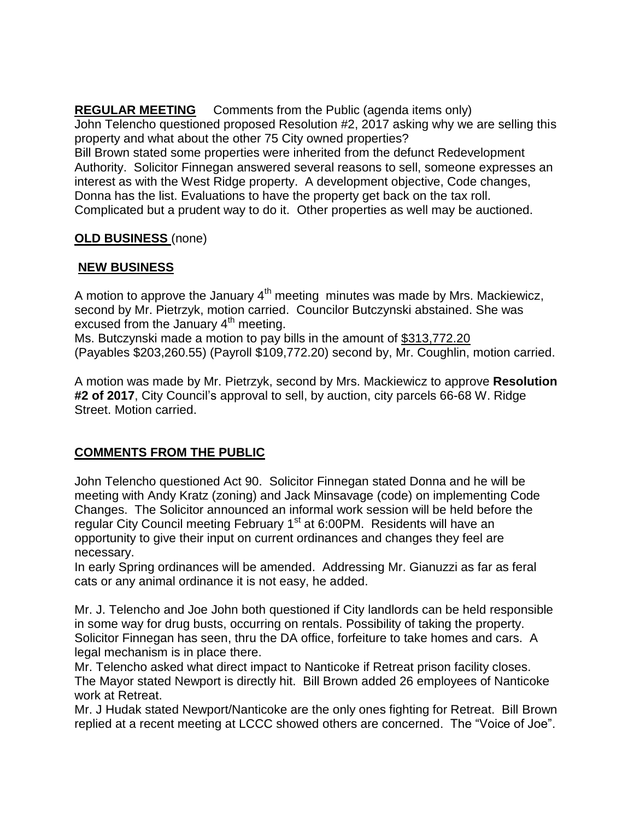**REGULAR MEETING** Comments from the Public (agenda items only) John Telencho questioned proposed Resolution #2, 2017 asking why we are selling this property and what about the other 75 City owned properties?

Bill Brown stated some properties were inherited from the defunct Redevelopment Authority. Solicitor Finnegan answered several reasons to sell, someone expresses an interest as with the West Ridge property. A development objective, Code changes, Donna has the list. Evaluations to have the property get back on the tax roll. Complicated but a prudent way to do it. Other properties as well may be auctioned.

### **OLD BUSINESS** (none)

# **NEW BUSINESS**

A motion to approve the January  $4<sup>th</sup>$  meeting minutes was made by Mrs. Mackiewicz, second by Mr. Pietrzyk, motion carried. Councilor Butczynski abstained. She was excused from the January  $4<sup>th</sup>$  meeting.

Ms. Butczynski made a motion to pay bills in the amount of \$313,772.20 (Payables \$203,260.55) (Payroll \$109,772.20) second by, Mr. Coughlin, motion carried.

A motion was made by Mr. Pietrzyk, second by Mrs. Mackiewicz to approve **Resolution #2 of 2017**, City Council's approval to sell, by auction, city parcels 66-68 W. Ridge Street. Motion carried.

# **COMMENTS FROM THE PUBLIC**

John Telencho questioned Act 90. Solicitor Finnegan stated Donna and he will be meeting with Andy Kratz (zoning) and Jack Minsavage (code) on implementing Code Changes. The Solicitor announced an informal work session will be held before the regular City Council meeting February 1<sup>st</sup> at 6:00PM. Residents will have an opportunity to give their input on current ordinances and changes they feel are necessary.

In early Spring ordinances will be amended. Addressing Mr. Gianuzzi as far as feral cats or any animal ordinance it is not easy, he added.

Mr. J. Telencho and Joe John both questioned if City landlords can be held responsible in some way for drug busts, occurring on rentals. Possibility of taking the property. Solicitor Finnegan has seen, thru the DA office, forfeiture to take homes and cars. A legal mechanism is in place there.

Mr. Telencho asked what direct impact to Nanticoke if Retreat prison facility closes. The Mayor stated Newport is directly hit. Bill Brown added 26 employees of Nanticoke work at Retreat.

Mr. J Hudak stated Newport/Nanticoke are the only ones fighting for Retreat. Bill Brown replied at a recent meeting at LCCC showed others are concerned. The "Voice of Joe".